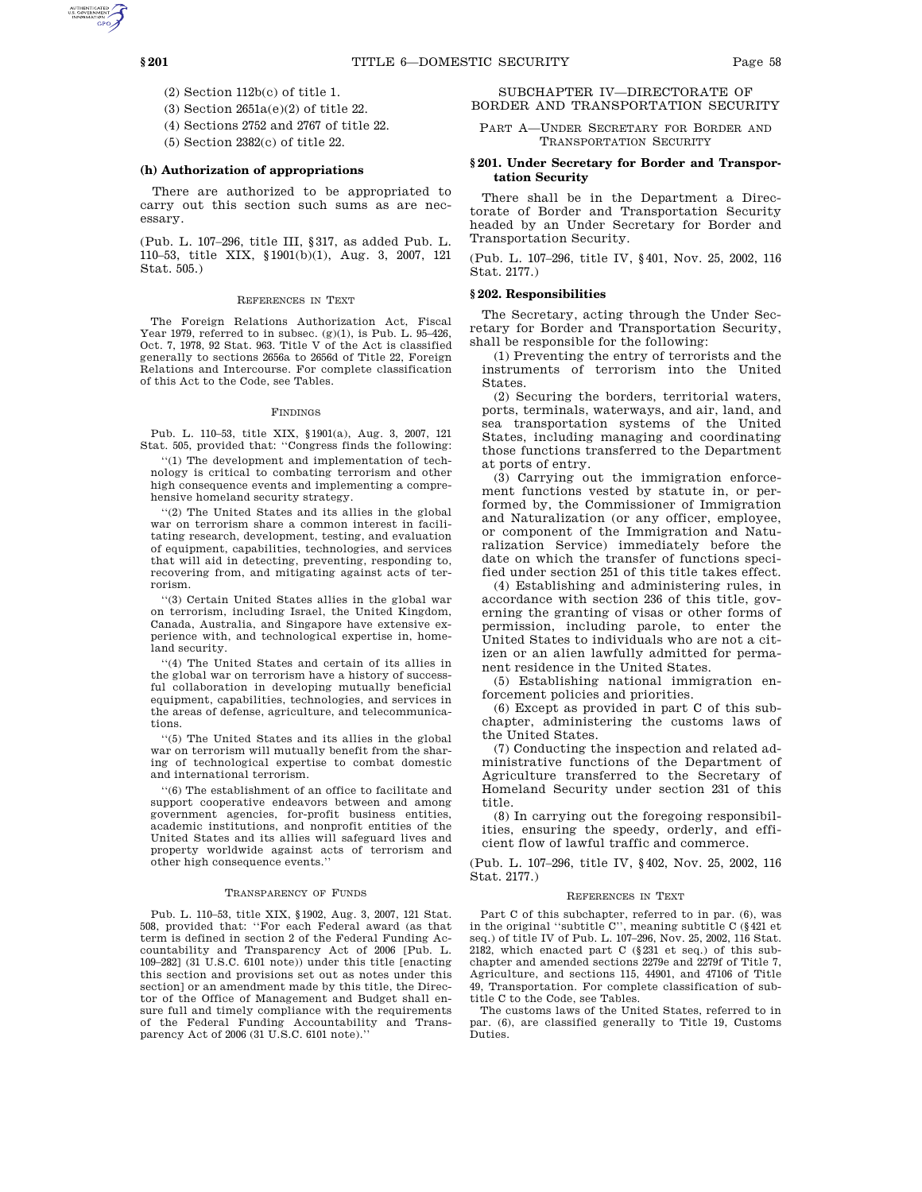- (2) Section 112b(c) of title 1.
- (3) Section 2651a(e)(2) of title 22.
- (4) Sections 2752 and 2767 of title 22.
- (5) Section 2382(c) of title 22.

# **(h) Authorization of appropriations**

There are authorized to be appropriated to carry out this section such sums as are necessary.

(Pub. L. 107–296, title III, §317, as added Pub. L. 110–53, title XIX, §1901(b)(1), Aug. 3, 2007, 121 Stat. 505.)

#### REFERENCES IN TEXT

The Foreign Relations Authorization Act, Fiscal Year 1979, referred to in subsec.  $(g)(1)$ , is Pub. L. 95-426, Oct. 7, 1978, 92 Stat. 963. Title V of the Act is classified generally to sections 2656a to 2656d of Title 22, Foreign Relations and Intercourse. For complete classification of this Act to the Code, see Tables.

#### FINDINGS

Pub. L. 110–53, title XIX, §1901(a), Aug. 3, 2007, 121 Stat. 505, provided that: ''Congress finds the following:

''(1) The development and implementation of technology is critical to combating terrorism and other high consequence events and implementing a comprehensive homeland security strategy.

''(2) The United States and its allies in the global war on terrorism share a common interest in facilitating research, development, testing, and evaluation of equipment, capabilities, technologies, and services that will aid in detecting, preventing, responding to, recovering from, and mitigating against acts of terrorism.

''(3) Certain United States allies in the global war on terrorism, including Israel, the United Kingdom, Canada, Australia, and Singapore have extensive experience with, and technological expertise in, homeland security.

''(4) The United States and certain of its allies in the global war on terrorism have a history of successful collaboration in developing mutually beneficial equipment, capabilities, technologies, and services in the areas of defense, agriculture, and telecommunications.

''(5) The United States and its allies in the global war on terrorism will mutually benefit from the sharing of technological expertise to combat domestic and international terrorism.

''(6) The establishment of an office to facilitate and support cooperative endeavors between and among government agencies, for-profit business entities, academic institutions, and nonprofit entities of the United States and its allies will safeguard lives and property worldwide against acts of terrorism and other high consequence events.''

#### TRANSPARENCY OF FUNDS

Pub. L. 110–53, title XIX, §1902, Aug. 3, 2007, 121 Stat. 508, provided that: ''For each Federal award (as that term is defined in section 2 of the Federal Funding Accountability and Transparency Act of 2006 [Pub. L. 109–282] (31 U.S.C. 6101 note)) under this title [enacting this section and provisions set out as notes under this section] or an amendment made by this title, the Director of the Office of Management and Budget shall ensure full and timely compliance with the requirements of the Federal Funding Accountability and Transparency Act of 2006 (31 U.S.C. 6101 note).''

SUBCHAPTER IV—DIRECTORATE OF BORDER AND TRANSPORTATION SECURITY

PART A—UNDER SECRETARY FOR BORDER AND TRANSPORTATION SECURITY

### **§ 201. Under Secretary for Border and Transportation Security**

There shall be in the Department a Directorate of Border and Transportation Security headed by an Under Secretary for Border and Transportation Security.

(Pub. L. 107–296, title IV, §401, Nov. 25, 2002, 116 Stat. 2177.)

### **§ 202. Responsibilities**

The Secretary, acting through the Under Secretary for Border and Transportation Security, shall be responsible for the following:

(1) Preventing the entry of terrorists and the instruments of terrorism into the United States.

(2) Securing the borders, territorial waters, ports, terminals, waterways, and air, land, and sea transportation systems of the United States, including managing and coordinating those functions transferred to the Department at ports of entry.

(3) Carrying out the immigration enforcement functions vested by statute in, or performed by, the Commissioner of Immigration and Naturalization (or any officer, employee, or component of the Immigration and Naturalization Service) immediately before the date on which the transfer of functions specified under section 251 of this title takes effect.

(4) Establishing and administering rules, in accordance with section 236 of this title, governing the granting of visas or other forms of permission, including parole, to enter the United States to individuals who are not a citizen or an alien lawfully admitted for permanent residence in the United States.

(5) Establishing national immigration enforcement policies and priorities.

(6) Except as provided in part C of this subchapter, administering the customs laws of the United States.

(7) Conducting the inspection and related administrative functions of the Department of Agriculture transferred to the Secretary of Homeland Security under section 231 of this title.

(8) In carrying out the foregoing responsibilities, ensuring the speedy, orderly, and efficient flow of lawful traffic and commerce.

(Pub. L. 107–296, title IV, §402, Nov. 25, 2002, 116 Stat. 2177.)

#### REFERENCES IN TEXT

Part C of this subchapter, referred to in par. (6), was in the original ''subtitle C'', meaning subtitle C (§421 et seq.) of title IV of Pub. L. 107–296, Nov. 25, 2002, 116 Stat. 2182, which enacted part C (§231 et seq.) of this subchapter and amended sections 2279e and 2279f of Title 7, Agriculture, and sections 115, 44901, and 47106 of Title 49, Transportation. For complete classification of subtitle C to the Code, see Tables.

The customs laws of the United States, referred to in par. (6), are classified generally to Title 19, Customs Duties.